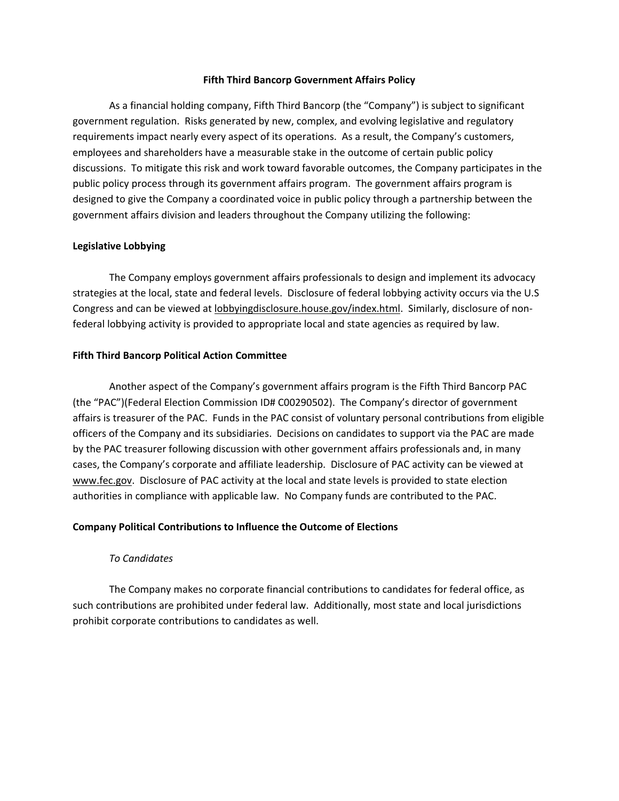### **Fifth Third Bancorp Government Affairs Policy**

As a financial holding company, Fifth Third Bancorp (the "Company") is subject to significant government regulation. Risks generated by new, complex, and evolving legislative and regulatory requirements impact nearly every aspect of its operations. As a result, the Company's customers, employees and shareholders have a measurable stake in the outcome of certain public policy discussions. To mitigate this risk and work toward favorable outcomes, the Company participates in the public policy process through its government affairs program. The government affairs program is designed to give the Company a coordinated voice in public policy through a partnership between the government affairs division and leaders throughout the Company utilizing the following:

# **Legislative Lobbying**

The Company employs government affairs professionals to design and implement its advocacy strategies at the local, state and federal levels. Disclosure of federal lobbying activity occurs via the U.S Congress and can be viewed at lobbyingdisclosure.house.gov/index.html. Similarly, disclosure of non‐ federal lobbying activity is provided to appropriate local and state agencies as required by law.

# **Fifth Third Bancorp Political Action Committee**

Another aspect of the Company's government affairs program is the Fifth Third Bancorp PAC (the "PAC")(Federal Election Commission ID# C00290502). The Company's director of government affairs is treasurer of the PAC. Funds in the PAC consist of voluntary personal contributions from eligible officers of the Company and its subsidiaries. Decisions on candidates to support via the PAC are made by the PAC treasurer following discussion with other government affairs professionals and, in many cases, the Company's corporate and affiliate leadership. Disclosure of PAC activity can be viewed at www.fec.gov. Disclosure of PAC activity at the local and state levels is provided to state election authorities in compliance with applicable law. No Company funds are contributed to the PAC.

# **Company Political Contributions to Influence the Outcome of Elections**

# *To Candidates*

The Company makes no corporate financial contributions to candidates for federal office, as such contributions are prohibited under federal law. Additionally, most state and local jurisdictions prohibit corporate contributions to candidates as well.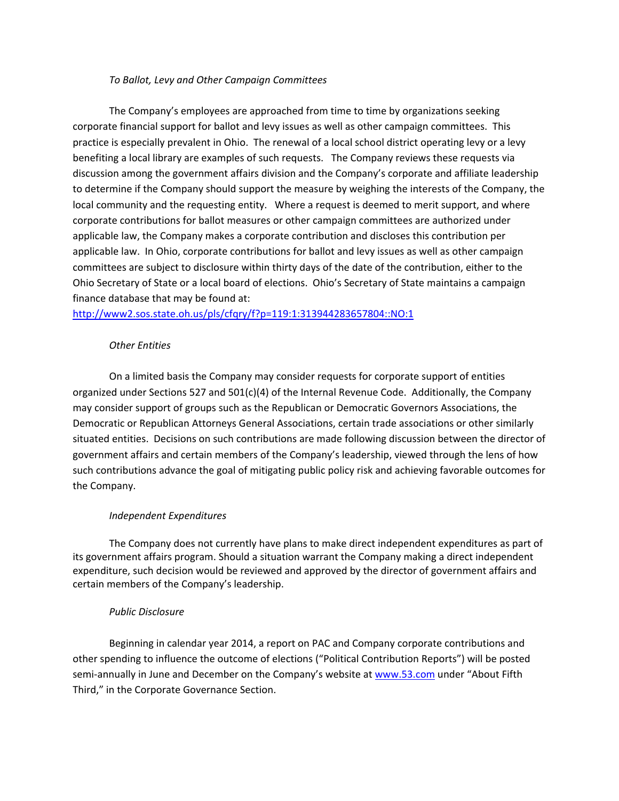# *To Ballot, Levy and Other Campaign Committees*

The Company's employees are approached from time to time by organizations seeking corporate financial support for ballot and levy issues as well as other campaign committees. This practice is especially prevalent in Ohio. The renewal of a local school district operating levy or a levy benefiting a local library are examples of such requests. The Company reviews these requests via discussion among the government affairs division and the Company's corporate and affiliate leadership to determine if the Company should support the measure by weighing the interests of the Company, the local community and the requesting entity. Where a request is deemed to merit support, and where corporate contributions for ballot measures or other campaign committees are authorized under applicable law, the Company makes a corporate contribution and discloses this contribution per applicable law. In Ohio, corporate contributions for ballot and levy issues as well as other campaign committees are subject to disclosure within thirty days of the date of the contribution, either to the Ohio Secretary of State or a local board of elections. Ohio's Secretary of State maintains a campaign finance database that may be found at:

http://www2.sos.state.oh.us/pls/cfqry/f?p=119:1:313944283657804::NO:1

# *Other Entities*

On a limited basis the Company may consider requests for corporate support of entities organized under Sections 527 and 501(c)(4) of the Internal Revenue Code. Additionally, the Company may consider support of groups such as the Republican or Democratic Governors Associations, the Democratic or Republican Attorneys General Associations, certain trade associations or other similarly situated entities. Decisions on such contributions are made following discussion between the director of government affairs and certain members of the Company's leadership, viewed through the lens of how such contributions advance the goal of mitigating public policy risk and achieving favorable outcomes for the Company.

# *Independent Expenditures*

The Company does not currently have plans to make direct independent expenditures as part of its government affairs program. Should a situation warrant the Company making a direct independent expenditure, such decision would be reviewed and approved by the director of government affairs and certain members of the Company's leadership.

# *Public Disclosure*

Beginning in calendar year 2014, a report on PAC and Company corporate contributions and other spending to influence the outcome of elections ("Political Contribution Reports") will be posted semi-annually in June and December on the Company's website at www.53.com under "About Fifth Third," in the Corporate Governance Section.